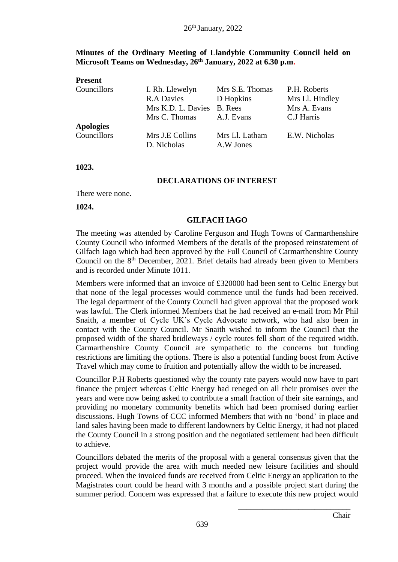# **Minutes of the Ordinary Meeting of Llandybie Community Council held on Microsoft Teams on Wednesday, 26th January, 2022 at 6.30 p.m.**

| <b>Present</b>   |                                |                             |                 |
|------------------|--------------------------------|-----------------------------|-----------------|
| Councillors      | I. Rh. Llewelyn                | Mrs S.E. Thomas             | P.H. Roberts    |
|                  | <b>R.A Davies</b>              | D Hopkins                   | Mrs Ll. Hindley |
|                  | Mrs K.D. L. Davies             | B. Rees                     | Mrs A. Evans    |
|                  | Mrs C. Thomas                  | A.J. Evans                  | C.J Harris      |
| <b>Apologies</b> |                                |                             |                 |
| Councillors      | Mrs J.E Collins<br>D. Nicholas | Mrs Ll. Latham<br>A.W Jones | E.W. Nicholas   |

**1023.**

#### **DECLARATIONS OF INTEREST**

There were none.

**1024.**

#### **GILFACH IAGO**

The meeting was attended by Caroline Ferguson and Hugh Towns of Carmarthenshire County Council who informed Members of the details of the proposed reinstatement of Gilfach Iago which had been approved by the Full Council of Carmarthenshire County Council on the 8<sup>th</sup> December, 2021. Brief details had already been given to Members and is recorded under Minute 1011.

Members were informed that an invoice of £320000 had been sent to Celtic Energy but that none of the legal processes would commence until the funds had been received. The legal department of the County Council had given approval that the proposed work was lawful. The Clerk informed Members that he had received an e-mail from Mr Phil Snaith, a member of Cycle UK's Cycle Advocate network, who had also been in contact with the County Council. Mr Snaith wished to inform the Council that the proposed width of the shared bridleways / cycle routes fell short of the required width. Carmarthenshire County Council are sympathetic to the concerns but funding restrictions are limiting the options. There is also a potential funding boost from Active Travel which may come to fruition and potentially allow the width to be increased.

Councillor P.H Roberts questioned why the county rate payers would now have to part finance the project whereas Celtic Energy had reneged on all their promises over the years and were now being asked to contribute a small fraction of their site earnings, and providing no monetary community benefits which had been promised during earlier discussions. Hugh Towns of CCC informed Members that with no 'bond' in place and land sales having been made to different landowners by Celtic Energy, it had not placed the County Council in a strong position and the negotiated settlement had been difficult to achieve.

Councillors debated the merits of the proposal with a general consensus given that the project would provide the area with much needed new leisure facilities and should proceed. When the invoiced funds are received from Celtic Energy an application to the Magistrates court could be heard with 3 months and a possible project start during the summer period. Concern was expressed that a failure to execute this new project would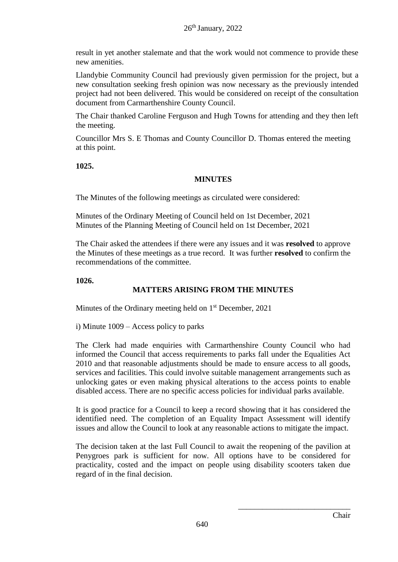result in yet another stalemate and that the work would not commence to provide these new amenities.

Llandybie Community Council had previously given permission for the project, but a new consultation seeking fresh opinion was now necessary as the previously intended project had not been delivered. This would be considered on receipt of the consultation document from Carmarthenshire County Council.

The Chair thanked Caroline Ferguson and Hugh Towns for attending and they then left the meeting.

Councillor Mrs S. E Thomas and County Councillor D. Thomas entered the meeting at this point.

**1025.**

# **MINUTES**

The Minutes of the following meetings as circulated were considered:

Minutes of the Ordinary Meeting of Council held on 1st December, 2021 Minutes of the Planning Meeting of Council held on 1st December, 2021

The Chair asked the attendees if there were any issues and it was **resolved** to approve the Minutes of these meetings as a true record. It was further **resolved** to confirm the recommendations of the committee.

**1026.**

# **MATTERS ARISING FROM THE MINUTES**

Minutes of the Ordinary meeting held on  $1<sup>st</sup>$  December, 2021

i) Minute 1009 – Access policy to parks

The Clerk had made enquiries with Carmarthenshire County Council who had informed the Council that access requirements to parks fall under the Equalities Act 2010 and that reasonable adjustments should be made to ensure access to all goods, services and facilities. This could involve suitable management arrangements such as unlocking gates or even making physical alterations to the access points to enable disabled access. There are no specific access policies for individual parks available.

It is good practice for a Council to keep a record showing that it has considered the identified need. The completion of an Equality Impact Assessment will identify issues and allow the Council to look at any reasonable actions to mitigate the impact.

The decision taken at the last Full Council to await the reopening of the pavilion at Penygroes park is sufficient for now. All options have to be considered for practicality, costed and the impact on people using disability scooters taken due regard of in the final decision.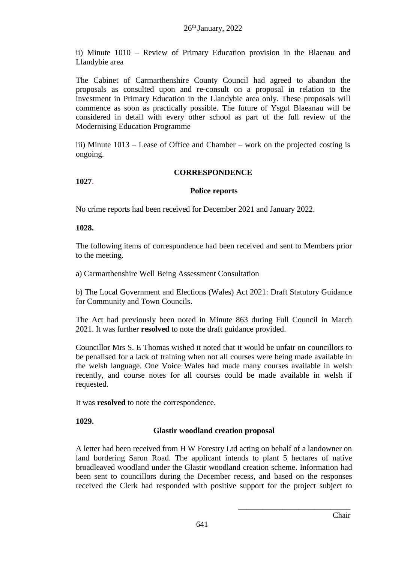ii) Minute 1010 – Review of Primary Education provision in the Blaenau and Llandybie area

The Cabinet of Carmarthenshire County Council had agreed to abandon the proposals as consulted upon and re-consult on a proposal in relation to the investment in Primary Education in the Llandybie area only. These proposals will commence as soon as practically possible. The future of Ysgol Blaeanau will be considered in detail with every other school as part of the full review of the Modernising Education Programme

iii) Minute 1013 – Lease of Office and Chamber – work on the projected costing is ongoing.

#### **CORRESPONDENCE**

**1027**.

#### **Police reports**

No crime reports had been received for December 2021 and January 2022.

#### **1028.**

The following items of correspondence had been received and sent to Members prior to the meeting.

a) Carmarthenshire Well Being Assessment Consultation

b) The Local Government and Elections (Wales) Act 2021: Draft Statutory Guidance for Community and Town Councils.

The Act had previously been noted in Minute 863 during Full Council in March 2021. It was further **resolved** to note the draft guidance provided.

Councillor Mrs S. E Thomas wished it noted that it would be unfair on councillors to be penalised for a lack of training when not all courses were being made available in the welsh language. One Voice Wales had made many courses available in welsh recently, and course notes for all courses could be made available in welsh if requested.

It was **resolved** to note the correspondence.

**1029.**

# **Glastir woodland creation proposal**

A letter had been received from H W Forestry Ltd acting on behalf of a landowner on land bordering Saron Road. The applicant intends to plant 5 hectares of native broadleaved woodland under the Glastir woodland creation scheme. Information had been sent to councillors during the December recess, and based on the responses received the Clerk had responded with positive support for the project subject to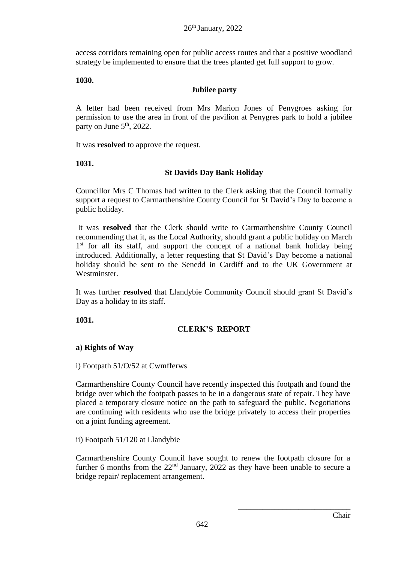access corridors remaining open for public access routes and that a positive woodland strategy be implemented to ensure that the trees planted get full support to grow.

#### **1030.**

# **Jubilee party**

A letter had been received from Mrs Marion Jones of Penygroes asking for permission to use the area in front of the pavilion at Penygres park to hold a jubilee party on June  $5<sup>th</sup>$ , 2022.

It was **resolved** to approve the request.

**1031.**

#### **St Davids Day Bank Holiday**

Councillor Mrs C Thomas had written to the Clerk asking that the Council formally support a request to Carmarthenshire County Council for St David's Day to become a public holiday.

It was **resolved** that the Clerk should write to Carmarthenshire County Council recommending that it, as the Local Authority, should grant a public holiday on March 1<sup>st</sup> for all its staff, and support the concept of a national bank holiday being introduced. Additionally, a letter requesting that St David's Day become a national holiday should be sent to the Senedd in Cardiff and to the UK Government at Westminster.

It was further **resolved** that Llandybie Community Council should grant St David's Day as a holiday to its staff.

**1031.**

# **CLERK'S REPORT**

#### **a) Rights of Way**

i) Footpath 51/O/52 at Cwmfferws

Carmarthenshire County Council have recently inspected this footpath and found the bridge over which the footpath passes to be in a dangerous state of repair. They have placed a temporary closure notice on the path to safeguard the public. Negotiations are continuing with residents who use the bridge privately to access their properties on a joint funding agreement.

ii) Footpath 51/120 at Llandybie

Carmarthenshire County Council have sought to renew the footpath closure for a further 6 months from the  $22<sup>nd</sup>$  January,  $2022$  as they have been unable to secure a bridge repair/ replacement arrangement.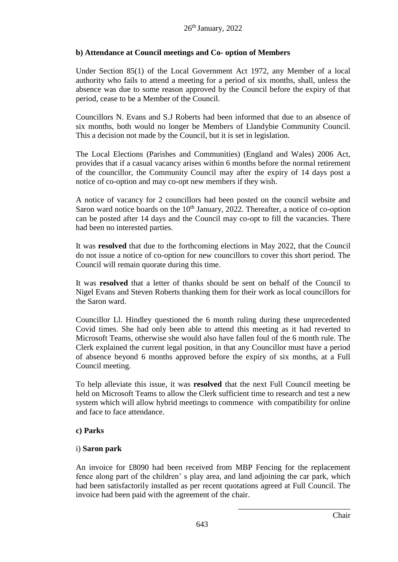# **b) Attendance at Council meetings and Co- option of Members**

Under Section 85(1) of the Local Government Act 1972, any Member of a local authority who fails to attend a meeting for a period of six months, shall, unless the absence was due to some reason approved by the Council before the expiry of that period, cease to be a Member of the Council.

Councillors N. Evans and S.J Roberts had been informed that due to an absence of six months, both would no longer be Members of Llandybie Community Council. This a decision not made by the Council, but it is set in legislation.

The Local Elections (Parishes and Communities) (England and Wales) 2006 Act, provides that if a casual vacancy arises within 6 months before the normal retirement of the councillor, the Community Council may after the expiry of 14 days post a notice of co-option and may co-opt new members if they wish.

A notice of vacancy for 2 councillors had been posted on the council website and Saron ward notice boards on the  $10<sup>th</sup>$  January, 2022. Thereafter, a notice of co-option can be posted after 14 days and the Council may co-opt to fill the vacancies. There had been no interested parties.

It was **resolved** that due to the forthcoming elections in May 2022, that the Council do not issue a notice of co-option for new councillors to cover this short period. The Council will remain quorate during this time.

It was **resolved** that a letter of thanks should be sent on behalf of the Council to Nigel Evans and Steven Roberts thanking them for their work as local councillors for the Saron ward.

Councillor Ll. Hindley questioned the 6 month ruling during these unprecedented Covid times. She had only been able to attend this meeting as it had reverted to Microsoft Teams, otherwise she would also have fallen foul of the 6 month rule. The Clerk explained the current legal position, in that any Councillor must have a period of absence beyond 6 months approved before the expiry of six months, at a Full Council meeting.

To help alleviate this issue, it was **resolved** that the next Full Council meeting be held on Microsoft Teams to allow the Clerk sufficient time to research and test a new system which will allow hybrid meetings to commence with compatibility for online and face to face attendance.

# **c) Parks**

# i) **Saron park**

An invoice for £8090 had been received from MBP Fencing for the replacement fence along part of the children' s play area, and land adjoining the car park, which had been satisfactorily installed as per recent quotations agreed at Full Council. The invoice had been paid with the agreement of the chair.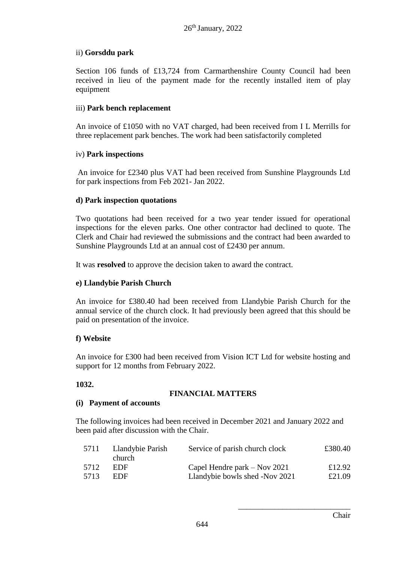# ii) **Gorsddu park**

Section 106 funds of £13,724 from Carmarthenshire County Council had been received in lieu of the payment made for the recently installed item of play equipment

# iii) **Park bench replacement**

An invoice of £1050 with no VAT charged, had been received from I L Merrills for three replacement park benches. The work had been satisfactorily completed

# iv) **Park inspections**

An invoice for £2340 plus VAT had been received from Sunshine Playgrounds Ltd for park inspections from Feb 2021- Jan 2022.

# **d) Park inspection quotations**

Two quotations had been received for a two year tender issued for operational inspections for the eleven parks. One other contractor had declined to quote. The Clerk and Chair had reviewed the submissions and the contract had been awarded to Sunshine Playgrounds Ltd at an annual cost of £2430 per annum.

It was **resolved** to approve the decision taken to award the contract.

# **e) Llandybie Parish Church**

An invoice for £380.40 had been received from Llandybie Parish Church for the annual service of the church clock. It had previously been agreed that this should be paid on presentation of the invoice.

# **f) Website**

An invoice for £300 had been received from Vision ICT Ltd for website hosting and support for 12 months from February 2022.

# **1032.**

# **FINANCIAL MATTERS**

# **(i) Payment of accounts**

The following invoices had been received in December 2021 and January 2022 and been paid after discussion with the Chair.

| 5711 | Llandybie Parish<br>church. | Service of parish church clock | £380.40 |
|------|-----------------------------|--------------------------------|---------|
| 5712 | EDE                         | Capel Hendre park – Nov 2021   | £12.92  |
| 5713 | EDE                         | Llandybie bowls shed -Nov 2021 | £21.09  |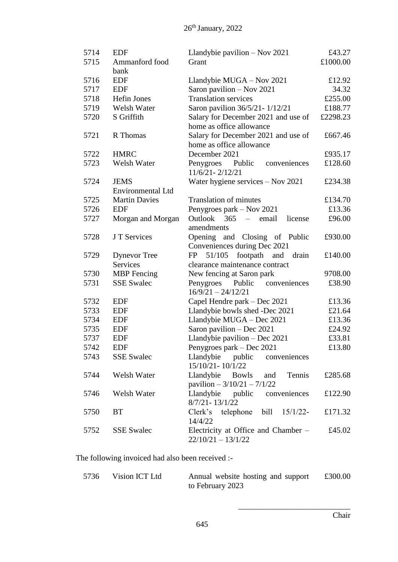| 5714 | <b>EDF</b>               | Llandybie pavilion $-$ Nov 2021                                     | £43.27   |
|------|--------------------------|---------------------------------------------------------------------|----------|
| 5715 | Ammanford food           | Grant                                                               | £1000.00 |
|      | bank                     |                                                                     |          |
| 5716 | <b>EDF</b>               | Llandybie MUGA - Nov 2021                                           | £12.92   |
| 5717 | <b>EDF</b>               | Saron pavilion - Nov 2021                                           | 34.32    |
| 5718 | Hefin Jones              | <b>Translation services</b>                                         | £255.00  |
| 5719 | Welsh Water              | Saron pavilion 36/5/21 - 1/12/21                                    | £188.77  |
| 5720 | S Griffith               | Salary for December 2021 and use of                                 | £2298.23 |
|      |                          | home as office allowance                                            |          |
| 5721 | R Thomas                 | Salary for December 2021 and use of<br>home as office allowance     | £667.46  |
| 5722 | <b>HMRC</b>              | December 2021                                                       | £935.17  |
| 5723 | Welsh Water              |                                                                     | £128.60  |
|      |                          | Penygroes Public<br>conveniences<br>$11/6/21 - 2/12/21$             |          |
| 5724 | <b>JEMS</b>              | Water hygiene services - Nov 2021                                   | £234.38  |
|      | <b>Environmental Ltd</b> |                                                                     |          |
| 5725 | <b>Martin Davies</b>     | <b>Translation of minutes</b>                                       | £134.70  |
| 5726 | <b>EDF</b>               | Penygroes park – Nov 2021                                           | £13.36   |
| 5727 | Morgan and Morgan        | Outlook 365<br>$\frac{1}{2}$<br>email<br>license<br>amendments      | £96.00   |
| 5728 | J T Services             | Opening and Closing of Public                                       | £930.00  |
|      |                          | Conveniences during Dec 2021                                        |          |
| 5729 | <b>Dynevor</b> Tree      | 51/105<br>footpath and<br>FP<br>drain                               | £140.00  |
|      | <b>Services</b>          | clearance maintenance contract                                      |          |
| 5730 | <b>MBP</b> Fencing       | New fencing at Saron park                                           | 9708.00  |
| 5731 | <b>SSE Swalec</b>        | Penygroes<br>Public<br>conveniences                                 | £38.90   |
|      |                          | $16/9/21 - 24/12/21$                                                |          |
| 5732 | <b>EDF</b>               | Capel Hendre park – Dec 2021                                        | £13.36   |
| 5733 | <b>EDF</b>               | Llandybie bowls shed -Dec 2021                                      | £21.64   |
| 5734 | <b>EDF</b>               | Llandybie MUGA - Dec 2021                                           | £13.36   |
| 5735 | <b>EDF</b>               | Saron pavilion - Dec 2021                                           | £24.92   |
| 5737 | <b>EDF</b>               | Llandybie pavilion - Dec 2021                                       | £33.81   |
| 5742 | <b>EDF</b>               | Penygroes park – Dec 2021                                           | £13.80   |
| 5743 | <b>SSE Swalec</b>        | Llandybie public<br>conveniences                                    |          |
|      |                          | 15/10/21-10/1/22                                                    |          |
| 5744 | Welsh Water              | Llandybie<br>Bowls<br>and<br>Tennis<br>pavilion $-3/10/21 - 7/1/22$ | £285.68  |
| 5746 | Welsh Water              | Llandybie public<br>conveniences                                    | £122.90  |
|      |                          | $8/7/21 - 13/1/22$                                                  |          |
| 5750 | <b>BT</b>                | telephone<br>bill<br>Clerk's<br>$15/1/22$ -                         | £171.32  |
|      |                          | 14/4/22                                                             |          |
| 5752 | <b>SSE</b> Swalec        | Electricity at Office and Chamber –                                 | £45.02   |
|      |                          | $22/10/21 - 13/1/22$                                                |          |

The following invoiced had also been received :-

| 5736 | Vision ICT Ltd | Annual website hosting and support | £300.00 |
|------|----------------|------------------------------------|---------|
|      |                | to February 2023                   |         |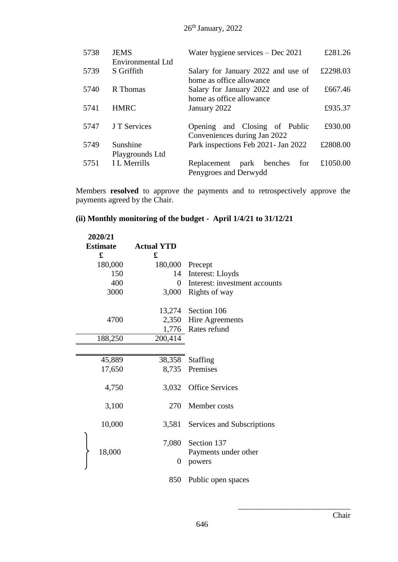26<sup>th</sup> January, 2022

| 5738 | <b>JEMS</b><br>Environmental Ltd | Water hygiene services $-$ Dec 2021                            | £281.26  |
|------|----------------------------------|----------------------------------------------------------------|----------|
| 5739 | S Griffith                       | Salary for January 2022 and use of<br>home as office allowance | £2298.03 |
| 5740 | R Thomas                         | Salary for January 2022 and use of<br>home as office allowance | £667.46  |
| 5741 | <b>HMRC</b>                      | January 2022                                                   | £935.37  |
| 5747 | J T Services                     | Opening and Closing of Public<br>Conveniences during Jan 2022  | £930.00  |
| 5749 | Sunshine<br>Playgrounds Ltd      | Park inspections Feb 2021- Jan 2022                            | £2808.00 |
| 5751 | <b>I</b> L Merrills              | Replacement park benches<br>for<br>Penygroes and Derwydd       | £1050.00 |

Members **resolved** to approve the payments and to retrospectively approve the payments agreed by the Chair.

# **(ii) Monthly monitoring of the budget - April 1/4/21 to 31/12/21**

| 2020/21<br><b>Estimate</b><br>£ | <b>Actual YTD</b><br>£ |                               |
|---------------------------------|------------------------|-------------------------------|
| 180,000                         | 180,000                | Precept                       |
| 150                             | 14                     | Interest: Lloyds              |
| 400                             | 0                      | Interest: investment accounts |
| 3000                            | 3,000                  | Rights of way                 |
|                                 | 13,274                 | Section 106                   |
| 4700                            | 2,350                  | Hire Agreements               |
|                                 | 1,776                  | Rates refund                  |
| 188,250                         | 200,414                |                               |
|                                 |                        |                               |
| 45,889                          | 38,358                 | <b>Staffing</b>               |
| 17,650                          | 8,735                  | Premises                      |
| 4,750                           | 3,032                  | <b>Office Services</b>        |
|                                 |                        |                               |
| 3,100                           | 270                    | Member costs                  |
| 10,000                          | 3,581                  | Services and Subscriptions    |
|                                 | 7,080                  | Section 137                   |
| 18,000                          |                        | Payments under other          |
|                                 | $\overline{0}$         | powers                        |
|                                 | 850                    | Public open spaces            |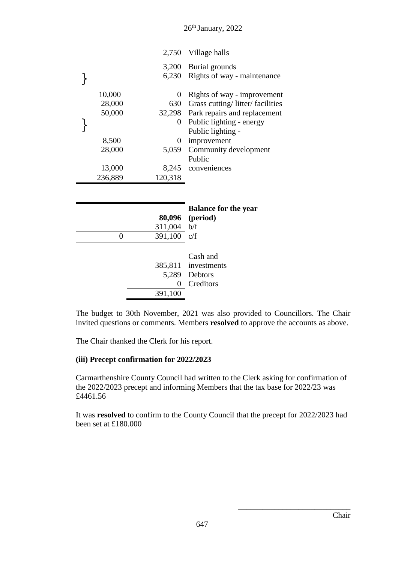26<sup>th</sup> January, 2022

|         | 2,750   | Village halls                   |
|---------|---------|---------------------------------|
|         | 3,200   | Burial grounds                  |
|         | 6,230   | Rights of way - maintenance     |
| 10,000  | 0       | Rights of way - improvement     |
| 28,000  | 630     | Grass cutting/litter/facilities |
| 50,000  | 32,298  | Park repairs and replacement    |
|         | 0       | Public lighting - energy        |
|         |         | Public lighting -               |
| 8,500   | 0       | improvement                     |
| 28,000  | 5,059   | Community development           |
|         |         | Public                          |
| 13,000  | 8,245   | conveniences                    |
| 236,889 | 120,318 |                                 |
|         |         |                                 |
|         |         |                                 |
|         |         | <b>Balance for the year</b>     |
|         | 80,096  | (period)                        |
|         | 311,004 | b/f                             |
| 0       | 391,100 | c/f                             |
|         |         |                                 |
|         |         | Cash and                        |
|         | 385,811 | investments                     |
|         | 5,289   | Debtors                         |
|         | 0       | Creditors                       |
|         | 391,100 |                                 |

The budget to 30th November, 2021 was also provided to Councillors. The Chair invited questions or comments. Members **resolved** to approve the accounts as above.

The Chair thanked the Clerk for his report.

# **(iii) Precept confirmation for 2022/2023**

Carmarthenshire County Council had written to the Clerk asking for confirmation of the 2022/2023 precept and informing Members that the tax base for 2022/23 was £4461.56

It was **resolved** to confirm to the County Council that the precept for 2022/2023 had been set at £180.000